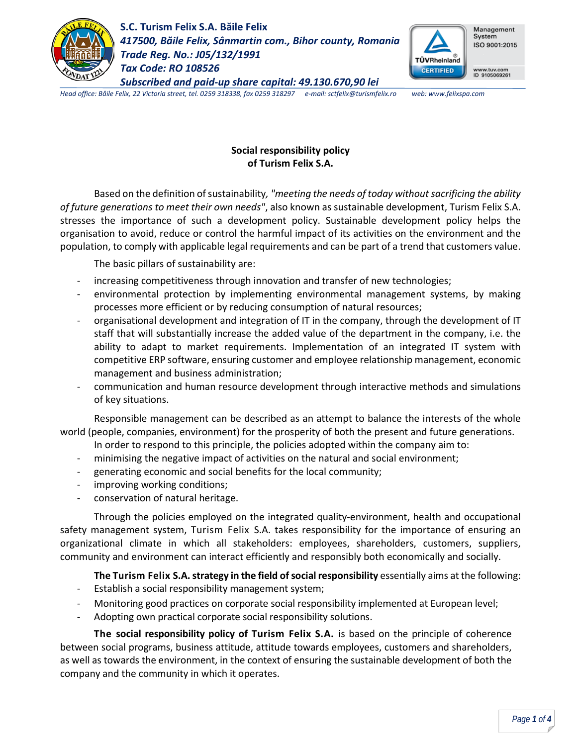

**S.C. Turism Felix S.A. Băile Felix** *417500, Băile Felix, Sânmartin com., Bihor county, Romania Trade Reg. No.: J05/132/1991 Tax Code: RO 108526 Subscribed and paid-up share capital: 49.130.670,90 lei*



*Head office: Băile Felix, 22 Victoria street, tel. 0259 318338, fax 0259 318297 e-mail: sctfelix@turismfelix.ro web: www.felixspa.com*

# **Social responsibility policy of Turism Felix S.A.**

Based on the definition of sustainability*, "meeting the needs of today without sacrificing the ability of future generations to meet their own needs"*, also known as sustainable development, Turism Felix S.A. stresses the importance of such a development policy. Sustainable development policy helps the organisation to avoid, reduce or control the harmful impact of its activities on the environment and the population, to comply with applicable legal requirements and can be part of a trend that customers value.

The basic pillars of sustainability are:

- increasing competitiveness through innovation and transfer of new technologies;
- environmental protection by implementing environmental management systems, by making processes more efficient or by reducing consumption of natural resources;
- organisational development and integration of IT in the company, through the development of IT staff that will substantially increase the added value of the department in the company, i.e. the ability to adapt to market requirements. Implementation of an integrated IT system with competitive ERP software, ensuring customer and employee relationship management, economic management and business administration;
- communication and human resource development through interactive methods and simulations of key situations.

Responsible management can be described as an attempt to balance the interests of the whole world (people, companies, environment) for the prosperity of both the present and future generations.

- In order to respond to this principle, the policies adopted within the company aim to:
- minimising the negative impact of activities on the natural and social environment;
- generating economic and social benefits for the local community;
- improving working conditions;
- conservation of natural heritage.

Through the policies employed on the integrated quality-environment, health and occupational safety management system, Turism Felix S.A. takes responsibility for the importance of ensuring an organizational climate in which all stakeholders: employees, shareholders, customers, suppliers, community and environment can interact efficiently and responsibly both economically and socially.

**The Turism Felix S.A. strategy in the field of social responsibility** essentially aims at the following:

- Establish a social responsibility management system;
- Monitoring good practices on corporate social responsibility implemented at European level;
- Adopting own practical corporate social responsibility solutions.

**The social responsibility policy of Turism Felix S.A.** is based on the principle of coherence between social programs, business attitude, attitude towards employees, customers and shareholders, as well as towards the environment, in the context of ensuring the sustainable development of both the company and the community in which it operates.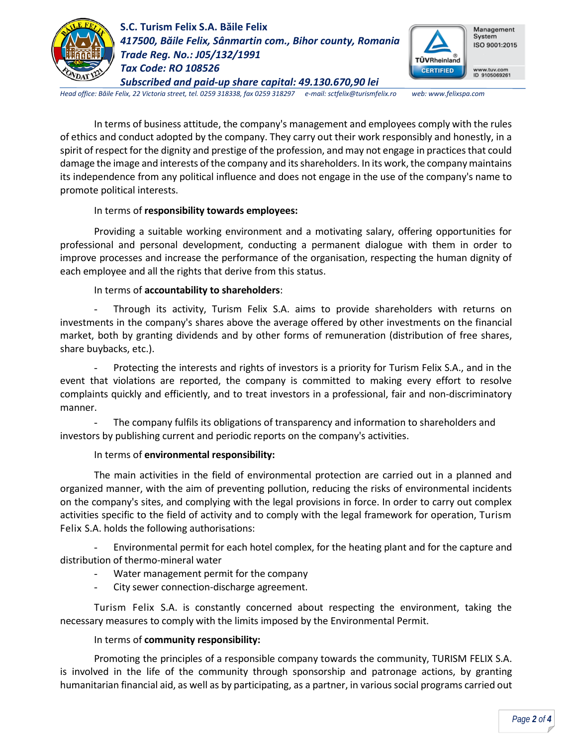

**S.C. Turism Felix S.A. Băile Felix** *417500, Băile Felix, Sânmartin com., Bihor county, Romania Trade Reg. No.: J05/132/1991 Tax Code: RO 108526 Subscribed and paid-up share capital: 49.130.670,90 lei*



*Head office: Băile Felix, 22 Victoria street, tel. 0259 318338, fax 0259 318297 e-mail: sctfelix@turismfelix.ro web: www.felixspa.com*

In terms of business attitude, the company's management and employees comply with the rules of ethics and conduct adopted by the company. They carry out their work responsibly and honestly, in a spirit of respect for the dignity and prestige of the profession, and may not engage in practices that could damage the image and interests of the company and its shareholders. In its work, the company maintains its independence from any political influence and does not engage in the use of the company's name to promote political interests.

### In terms of **responsibility towards employees:**

Providing a suitable working environment and a motivating salary, offering opportunities for professional and personal development, conducting a permanent dialogue with them in order to improve processes and increase the performance of the organisation, respecting the human dignity of each employee and all the rights that derive from this status.

### In terms of **accountability to shareholders**:

- Through its activity, Turism Felix S.A. aims to provide shareholders with returns on investments in the company's shares above the average offered by other investments on the financial market, both by granting dividends and by other forms of remuneration (distribution of free shares, share buybacks, etc.).

Protecting the interests and rights of investors is a priority for Turism Felix S.A., and in the event that violations are reported, the company is committed to making every effort to resolve complaints quickly and efficiently, and to treat investors in a professional, fair and non-discriminatory manner.

The company fulfils its obligations of transparency and information to shareholders and investors by publishing current and periodic reports on the company's activities.

# In terms of **environmental responsibility:**

The main activities in the field of environmental protection are carried out in a planned and organized manner, with the aim of preventing pollution, reducing the risks of environmental incidents on the company's sites, and complying with the legal provisions in force. In order to carry out complex activities specific to the field of activity and to comply with the legal framework for operation, Turism Felix S.A. holds the following authorisations:

Environmental permit for each hotel complex, for the heating plant and for the capture and distribution of thermo-mineral water

- Water management permit for the company
- City sewer connection-discharge agreement.

Turism Felix S.A. is constantly concerned about respecting the environment, taking the necessary measures to comply with the limits imposed by the Environmental Permit.

# In terms of **community responsibility:**

Promoting the principles of a responsible company towards the community, TURISM FELIX S.A. is involved in the life of the community through sponsorship and patronage actions, by granting humanitarian financial aid, as well as by participating, as a partner, in various social programs carried out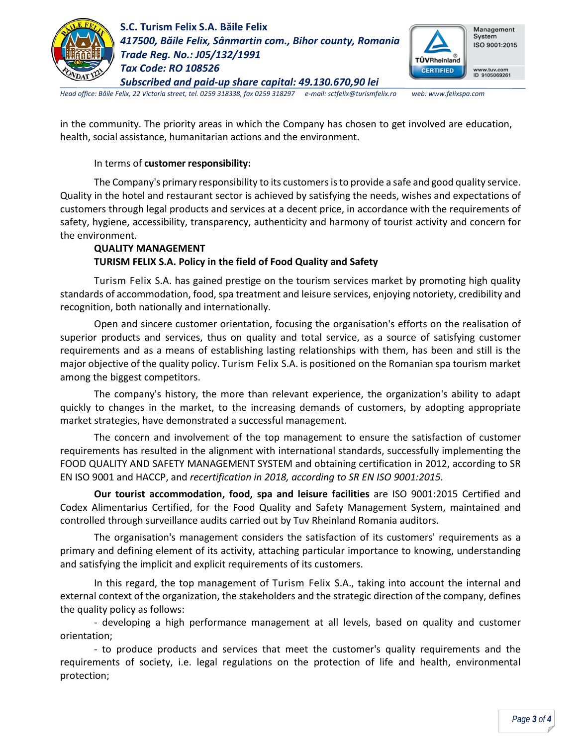

**S.C. Turism Felix S.A. Băile Felix** *417500, Băile Felix, Sânmartin com., Bihor county, Romania Trade Reg. No.: J05/132/1991 Tax Code: RO 108526 Subscribed and paid-up share capital: 49.130.670,90 lei*



*Head office: Băile Felix, 22 Victoria street, tel. 0259 318338, fax 0259 318297 e-mail: sctfelix@turismfelix.ro web: www.felixspa.com*

in the community. The priority areas in which the Company has chosen to get involved are education, health, social assistance, humanitarian actions and the environment.

### In terms of **customer responsibility:**

The Company's primary responsibility to its customers is to provide a safe and good quality service. Quality in the hotel and restaurant sector is achieved by satisfying the needs, wishes and expectations of customers through legal products and services at a decent price, in accordance with the requirements of safety, hygiene, accessibility, transparency, authenticity and harmony of tourist activity and concern for the environment.

# **QUALITY MANAGEMENT TURISM FELIX S.A. Policy in the field of Food Quality and Safety**

Turism Felix S.A. has gained prestige on the tourism services market by promoting high quality standards of accommodation, food, spa treatment and leisure services, enjoying notoriety, credibility and recognition, both nationally and internationally.

Open and sincere customer orientation, focusing the organisation's efforts on the realisation of superior products and services, thus on quality and total service, as a source of satisfying customer requirements and as a means of establishing lasting relationships with them, has been and still is the major objective of the quality policy. Turism Felix S.A. is positioned on the Romanian spa tourism market among the biggest competitors.

The company's history, the more than relevant experience, the organization's ability to adapt quickly to changes in the market, to the increasing demands of customers, by adopting appropriate market strategies, have demonstrated a successful management.

The concern and involvement of the top management to ensure the satisfaction of customer requirements has resulted in the alignment with international standards, successfully implementing the FOOD QUALITY AND SAFETY MANAGEMENT SYSTEM and obtaining certification in 2012, according to SR EN ISO 9001 and HACCP, and *recertification in 2018, according to SR EN ISO 9001:2015.* 

**Our tourist accommodation, food, spa and leisure facilities** are ISO 9001:2015 Certified and Codex Alimentarius Certified, for the Food Quality and Safety Management System, maintained and controlled through surveillance audits carried out by Tuv Rheinland Romania auditors.

The organisation's management considers the satisfaction of its customers' requirements as a primary and defining element of its activity, attaching particular importance to knowing, understanding and satisfying the implicit and explicit requirements of its customers.

In this regard, the top management of Turism Felix S.A., taking into account the internal and external context of the organization, the stakeholders and the strategic direction of the company, defines the quality policy as follows:

- developing a high performance management at all levels, based on quality and customer orientation;

- to produce products and services that meet the customer's quality requirements and the requirements of society, i.e. legal regulations on the protection of life and health, environmental protection;